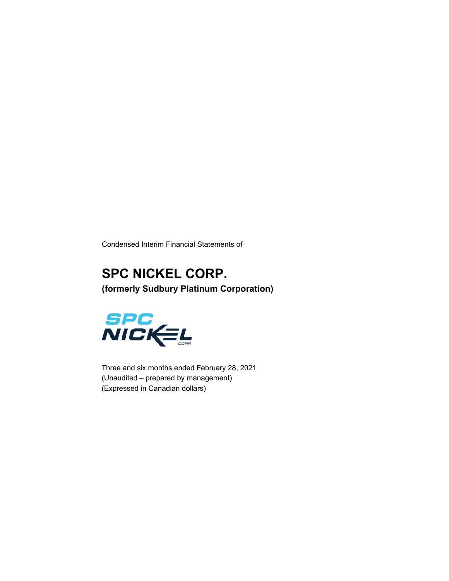Condensed Interim Financial Statements of

### **SPC NICKEL CORP. (formerly Sudbury Platinum Corporation)**



Three and six months ended February 28, 2021 (Unaudited – prepared by management) (Expressed in Canadian dollars)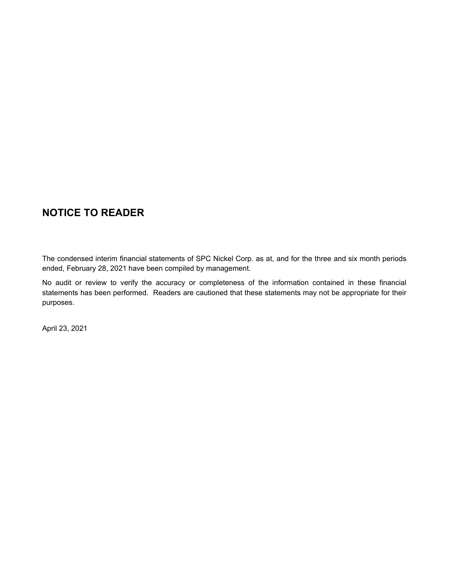### **NOTICE TO READER**

The condensed interim financial statements of SPC Nickel Corp. as at, and for the three and six month periods ended, February 28, 2021 have been compiled by management.

No audit or review to verify the accuracy or completeness of the information contained in these financial statements has been performed. Readers are cautioned that these statements may not be appropriate for their purposes.

April 23, 2021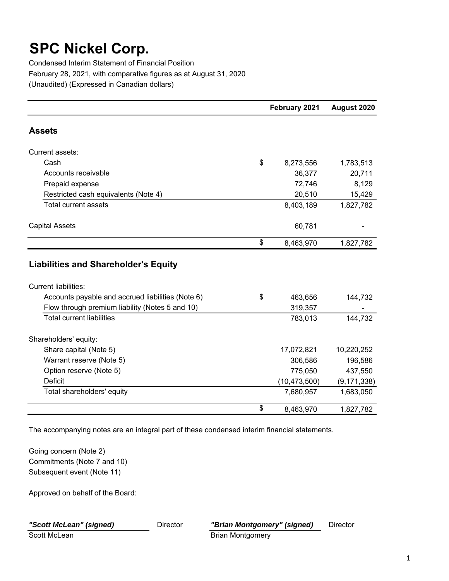Condensed Interim Statement of Financial Position February 28, 2021, with comparative figures as at August 31, 2020 (Unaudited) (Expressed in Canadian dollars)

|                                                   | February 2021   | August 2020   |
|---------------------------------------------------|-----------------|---------------|
| <b>Assets</b>                                     |                 |               |
| Current assets:                                   |                 |               |
| Cash                                              | \$<br>8,273,556 | 1,783,513     |
| Accounts receivable                               | 36,377          | 20,711        |
| Prepaid expense                                   | 72,746          | 8,129         |
| Restricted cash equivalents (Note 4)              | 20,510          | 15,429        |
| Total current assets                              | 8,403,189       | 1,827,782     |
| <b>Capital Assets</b>                             | 60,781          |               |
|                                                   | \$<br>8,463,970 | 1,827,782     |
| <b>Liabilities and Shareholder's Equity</b>       |                 |               |
| <b>Current liabilities:</b>                       |                 |               |
| Accounts payable and accrued liabilities (Note 6) | \$<br>463,656   | 144,732       |
| Flow through premium liability (Notes 5 and 10)   | 319,357         |               |
| <b>Total current liabilities</b>                  | 783,013         | 144,732       |
| Shareholders' equity:                             |                 |               |
| Share capital (Note 5)                            | 17,072,821      | 10,220,252    |
| Warrant reserve (Note 5)                          | 306,586         | 196,586       |
| Option reserve (Note 5)                           | 775,050         | 437,550       |
| <b>Deficit</b>                                    | (10, 473, 500)  | (9, 171, 338) |
| Total shareholders' equity                        | 7,680,957       | 1,683,050     |
|                                                   | \$<br>8,463,970 | 1,827,782     |

The accompanying notes are an integral part of these condensed interim financial statements.

Going concern (Note 2) Commitments (Note 7 and 10) Subsequent event (Note 11)

Approved on behalf of the Board: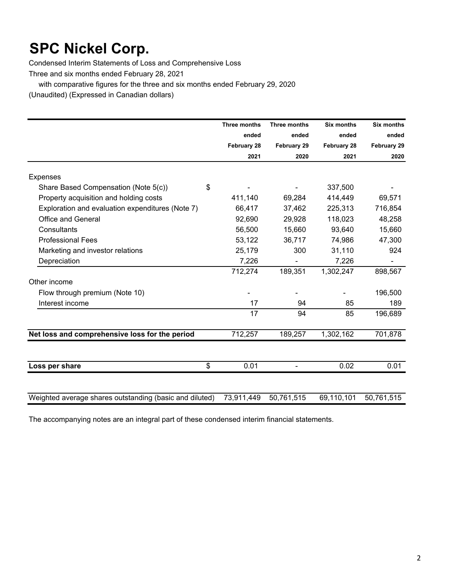Condensed Interim Statements of Loss and Comprehensive Loss

Three and six months ended February 28, 2021

with comparative figures for the three and six months ended February 29, 2020

(Unaudited) (Expressed in Canadian dollars)

|                                                         | <b>Three months</b> | Three months | <b>Six months</b> | <b>Six months</b> |
|---------------------------------------------------------|---------------------|--------------|-------------------|-------------------|
|                                                         | ended               | ended        | ended             | ended             |
|                                                         | February 28         | February 29  | February 28       | February 29       |
|                                                         | 2021                | 2020         | 2021              | 2020              |
| <b>Expenses</b>                                         |                     |              |                   |                   |
| Share Based Compensation (Note 5(c))<br>\$              |                     |              | 337,500           |                   |
| Property acquisition and holding costs                  | 411,140             | 69,284       | 414,449           | 69,571            |
| Exploration and evaluation expenditures (Note 7)        | 66,417              | 37,462       | 225,313           | 716,854           |
| <b>Office and General</b>                               | 92,690              | 29,928       | 118,023           | 48,258            |
| Consultants                                             | 56,500              | 15,660       | 93,640            | 15,660            |
| <b>Professional Fees</b>                                | 53,122              | 36,717       | 74,986            | 47,300            |
| Marketing and investor relations                        | 25,179              | 300          | 31,110            | 924               |
| Depreciation                                            | 7,226               |              | 7,226             |                   |
|                                                         | 712,274             | 189,351      | 1,302,247         | 898,567           |
| Other income                                            |                     |              |                   |                   |
| Flow through premium (Note 10)                          |                     |              |                   | 196,500           |
| Interest income                                         | 17                  | 94           | 85                | 189               |
|                                                         | 17                  | 94           | 85                | 196,689           |
| Net loss and comprehensive loss for the period          | 712,257             | 189,257      | 1,302,162         | 701,878           |
|                                                         |                     |              |                   |                   |
| \$<br>Loss per share                                    | 0.01                |              | 0.02              | 0.01              |
|                                                         |                     |              |                   |                   |
| Weighted average shares outstanding (basic and diluted) | 73,911,449          | 50,761,515   | 69,110,101        | 50,761,515        |

The accompanying notes are an integral part of these condensed interim financial statements.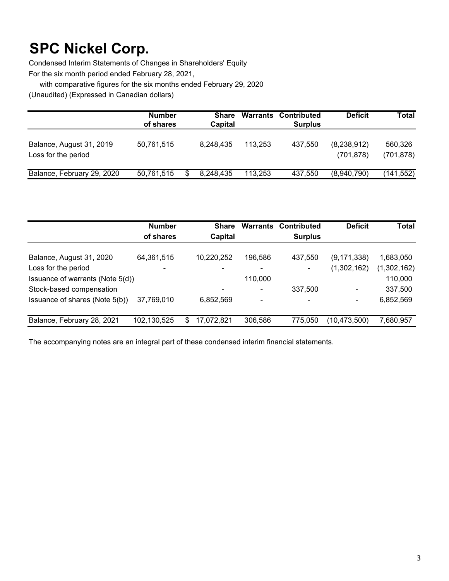Condensed Interim Statements of Changes in Shareholders' Equity For the six month period ended February 28, 2021,

with comparative figures for the six months ended February 29, 2020

(Unaudited) (Expressed in Canadian dollars)

|                                                 | <b>Number</b><br>of shares | Share<br>Capital |         | <b>Warrants Contributed</b><br><b>Surplus</b> | <b>Deficit</b>            | Total                 |
|-------------------------------------------------|----------------------------|------------------|---------|-----------------------------------------------|---------------------------|-----------------------|
| Balance, August 31, 2019<br>Loss for the period | 50,761,515                 | 8.248.435        | 113.253 | 437.550                                       | (8,238,912)<br>(701, 878) | 560,326<br>(701, 878) |
| Balance, February 29, 2020                      | 50,761,515                 | 8,248,435        | 113.253 | 437,550                                       | (8,940,790)               | (141,552)             |

|                                  | <b>Number</b><br>of shares | <b>Share</b><br>Capital | Warrants | Contributed<br><b>Surplus</b> | <b>Deficit</b> | <b>Total</b> |
|----------------------------------|----------------------------|-------------------------|----------|-------------------------------|----------------|--------------|
| Balance, August 31, 2020         | 64,361,515                 | 10,220,252              | 196,586  | 437,550                       | (9, 171, 338)  | 1,683,050    |
| Loss for the period              |                            |                         |          |                               | (1,302,162)    | (1,302,162)  |
| Issuance of warrants (Note 5(d)) |                            |                         | 110,000  |                               |                | 110,000      |
| Stock-based compensation         |                            |                         |          | 337,500                       |                | 337,500      |
| Issuance of shares (Note 5(b))   | 37,769,010                 | 6,852,569               | ۰        |                               |                | 6,852,569    |
| Balance, February 28, 2021       | 102,130,525                | 17,072,821<br>S         | 306,586  | 775.050                       | (10,473,500)   | 7,680,957    |

The accompanying notes are an integral part of these condensed interim financial statements.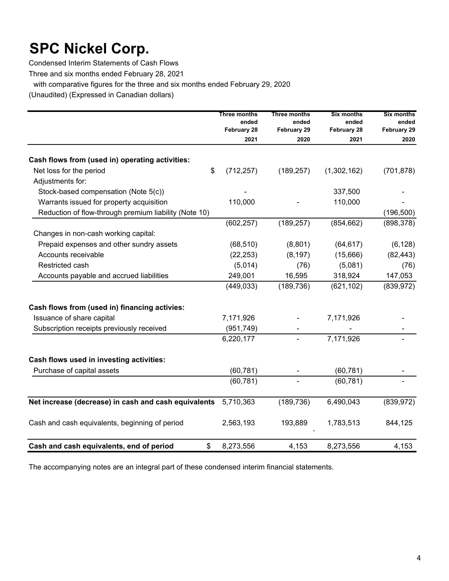Condensed Interim Statements of Cash Flows

Three and six months ended February 28, 2021

with comparative figures for the three and six months ended February 29, 2020

(Unaudited) (Expressed in Canadian dollars)

|                                                       | Three months<br>ended<br><b>February 28</b> | Three months<br>ended<br><b>February 29</b> | <b>Six months</b><br>ended<br>February 28 | <b>Six months</b><br>ended<br><b>February 29</b> |
|-------------------------------------------------------|---------------------------------------------|---------------------------------------------|-------------------------------------------|--------------------------------------------------|
|                                                       | 2021                                        | 2020                                        | 2021                                      | 2020                                             |
| Cash flows from (used in) operating activities:       |                                             |                                             |                                           |                                                  |
| \$<br>Net loss for the period                         | (712, 257)                                  | (189, 257)                                  | (1,302,162)                               | (701, 878)                                       |
| Adjustments for:                                      |                                             |                                             |                                           |                                                  |
| Stock-based compensation (Note 5(c))                  |                                             |                                             | 337,500                                   |                                                  |
| Warrants issued for property acquisition              | 110,000                                     |                                             | 110,000                                   |                                                  |
| Reduction of flow-through premium liability (Note 10) |                                             |                                             |                                           | (196, 500)                                       |
|                                                       | (602, 257)                                  | (189, 257)                                  | (854, 662)                                | (898, 378)                                       |
| Changes in non-cash working capital:                  |                                             |                                             |                                           |                                                  |
| Prepaid expenses and other sundry assets              | (68, 510)                                   | (8,801)                                     | (64, 617)                                 | (6, 128)                                         |
| Accounts receivable                                   | (22, 253)                                   | (8, 197)                                    | (15,666)                                  | (82, 443)                                        |
| Restricted cash                                       | (5,014)                                     | (76)                                        | (5,081)                                   | (76)                                             |
| Accounts payable and accrued liabilities              | 249,001                                     | 16,595                                      | 318,924                                   | 147,053                                          |
|                                                       | (449, 033)                                  | (189, 736)                                  | (621, 102)                                | (839, 972)                                       |
| Cash flows from (used in) financing activies:         |                                             |                                             |                                           |                                                  |
| Issuance of share capital                             | 7,171,926                                   |                                             | 7,171,926                                 |                                                  |
| Subscription receipts previously received             | (951, 749)                                  |                                             |                                           |                                                  |
|                                                       | 6,220,177                                   |                                             | 7,171,926                                 |                                                  |
| Cash flows used in investing activities:              |                                             |                                             |                                           |                                                  |
| Purchase of capital assets                            | (60, 781)                                   |                                             | (60, 781)                                 |                                                  |
|                                                       | (60, 781)                                   |                                             | (60, 781)                                 |                                                  |
| Net increase (decrease) in cash and cash equivalents  | 5,710,363                                   | (189, 736)                                  | 6,490,043                                 | (839, 972)                                       |
| Cash and cash equivalents, beginning of period        | 2,563,193                                   | 193,889                                     | 1,783,513                                 | 844,125                                          |
| Cash and cash equivalents, end of period<br>\$        | 8,273,556                                   | 4,153                                       | 8,273,556                                 | 4,153                                            |

The accompanying notes are an integral part of these condensed interim financial statements.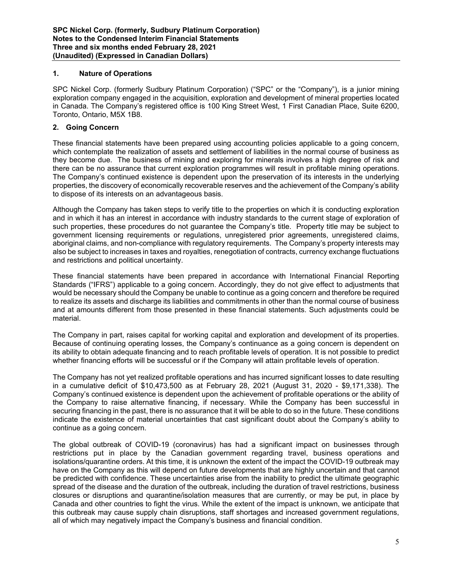#### **1. Nature of Operations**

SPC Nickel Corp. (formerly Sudbury Platinum Corporation) ("SPC" or the "Company"), is a junior mining exploration company engaged in the acquisition, exploration and development of mineral properties located in Canada. The Company's registered office is 100 King Street West, 1 First Canadian Place, Suite 6200, Toronto, Ontario, M5X 1B8.

#### **2. Going Concern**

These financial statements have been prepared using accounting policies applicable to a going concern, which contemplate the realization of assets and settlement of liabilities in the normal course of business as they become due. The business of mining and exploring for minerals involves a high degree of risk and there can be no assurance that current exploration programmes will result in profitable mining operations. The Company's continued existence is dependent upon the preservation of its interests in the underlying properties, the discovery of economically recoverable reserves and the achievement of the Company's ability to dispose of its interests on an advantageous basis.

Although the Company has taken steps to verify title to the properties on which it is conducting exploration and in which it has an interest in accordance with industry standards to the current stage of exploration of such properties, these procedures do not guarantee the Company's title. Property title may be subject to government licensing requirements or regulations, unregistered prior agreements, unregistered claims, aboriginal claims, and non-compliance with regulatory requirements. The Company's property interests may also be subject to increases in taxes and royalties, renegotiation of contracts, currency exchange fluctuations and restrictions and political uncertainty.

These financial statements have been prepared in accordance with International Financial Reporting Standards ("IFRS") applicable to a going concern. Accordingly, they do not give effect to adjustments that would be necessary should the Company be unable to continue as a going concern and therefore be required to realize its assets and discharge its liabilities and commitments in other than the normal course of business and at amounts different from those presented in these financial statements. Such adjustments could be material.

The Company in part, raises capital for working capital and exploration and development of its properties. Because of continuing operating losses, the Company's continuance as a going concern is dependent on its ability to obtain adequate financing and to reach profitable levels of operation. It is not possible to predict whether financing efforts will be successful or if the Company will attain profitable levels of operation.

The Company has not yet realized profitable operations and has incurred significant losses to date resulting in a cumulative deficit of \$10,473,500 as at February 28, 2021 (August 31, 2020 - \$9,171,338). The Company's continued existence is dependent upon the achievement of profitable operations or the ability of the Company to raise alternative financing, if necessary. While the Company has been successful in securing financing in the past, there is no assurance that it will be able to do so in the future. These conditions indicate the existence of material uncertainties that cast significant doubt about the Company's ability to continue as a going concern.

The global outbreak of COVID-19 (coronavirus) has had a significant impact on businesses through restrictions put in place by the Canadian government regarding travel, business operations and isolations/quarantine orders. At this time, it is unknown the extent of the impact the COVID-19 outbreak may have on the Company as this will depend on future developments that are highly uncertain and that cannot be predicted with confidence. These uncertainties arise from the inability to predict the ultimate geographic spread of the disease and the duration of the outbreak, including the duration of travel restrictions, business closures or disruptions and quarantine/isolation measures that are currently, or may be put, in place by Canada and other countries to fight the virus. While the extent of the impact is unknown, we anticipate that this outbreak may cause supply chain disruptions, staff shortages and increased government regulations, all of which may negatively impact the Company's business and financial condition.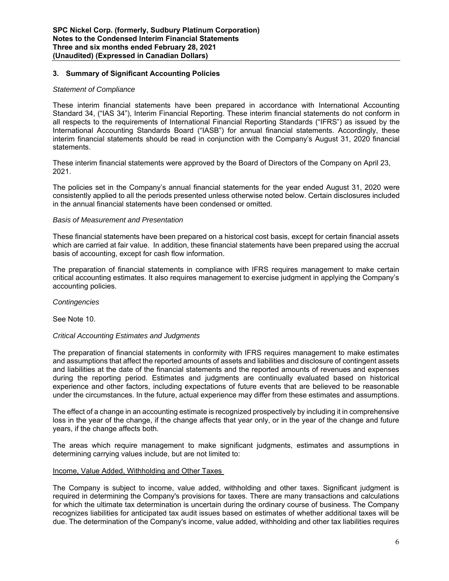#### **3. Summary of Significant Accounting Policies**

#### *Statement of Compliance*

These interim financial statements have been prepared in accordance with International Accounting Standard 34, ("IAS 34"), Interim Financial Reporting. These interim financial statements do not conform in all respects to the requirements of International Financial Reporting Standards ("IFRS") as issued by the International Accounting Standards Board ("IASB") for annual financial statements. Accordingly, these interim financial statements should be read in conjunction with the Company's August 31, 2020 financial statements.

These interim financial statements were approved by the Board of Directors of the Company on April 23, 2021.

The policies set in the Company's annual financial statements for the year ended August 31, 2020 were consistently applied to all the periods presented unless otherwise noted below. Certain disclosures included in the annual financial statements have been condensed or omitted.

#### *Basis of Measurement and Presentation*

These financial statements have been prepared on a historical cost basis, except for certain financial assets which are carried at fair value. In addition, these financial statements have been prepared using the accrual basis of accounting, except for cash flow information.

The preparation of financial statements in compliance with IFRS requires management to make certain critical accounting estimates. It also requires management to exercise judgment in applying the Company's accounting policies.

*Contingencies* 

See Note 10.

#### *Critical Accounting Estimates and Judgments*

The preparation of financial statements in conformity with IFRS requires management to make estimates and assumptions that affect the reported amounts of assets and liabilities and disclosure of contingent assets and liabilities at the date of the financial statements and the reported amounts of revenues and expenses during the reporting period. Estimates and judgments are continually evaluated based on historical experience and other factors, including expectations of future events that are believed to be reasonable under the circumstances. In the future, actual experience may differ from these estimates and assumptions.

The effect of a change in an accounting estimate is recognized prospectively by including it in comprehensive loss in the year of the change, if the change affects that year only, or in the year of the change and future years, if the change affects both.

The areas which require management to make significant judgments, estimates and assumptions in determining carrying values include, but are not limited to:

#### Income, Value Added, Withholding and Other Taxes

The Company is subject to income, value added, withholding and other taxes. Significant judgment is required in determining the Company's provisions for taxes. There are many transactions and calculations for which the ultimate tax determination is uncertain during the ordinary course of business. The Company recognizes liabilities for anticipated tax audit issues based on estimates of whether additional taxes will be due. The determination of the Company's income, value added, withholding and other tax liabilities requires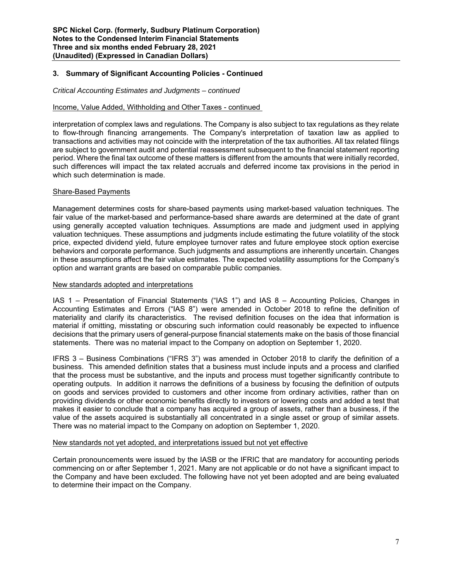#### **3. Summary of Significant Accounting Policies - Continued**

#### *Critical Accounting Estimates and Judgments – continued*

#### Income, Value Added, Withholding and Other Taxes - continued

interpretation of complex laws and regulations. The Company is also subject to tax regulations as they relate to flow-through financing arrangements. The Company's interpretation of taxation law as applied to transactions and activities may not coincide with the interpretation of the tax authorities. All tax related filings are subject to government audit and potential reassessment subsequent to the financial statement reporting period. Where the final tax outcome of these matters is different from the amounts that were initially recorded, such differences will impact the tax related accruals and deferred income tax provisions in the period in which such determination is made.

#### Share-Based Payments

Management determines costs for share-based payments using market-based valuation techniques. The fair value of the market-based and performance-based share awards are determined at the date of grant using generally accepted valuation techniques. Assumptions are made and judgment used in applying valuation techniques. These assumptions and judgments include estimating the future volatility of the stock price, expected dividend yield, future employee turnover rates and future employee stock option exercise behaviors and corporate performance. Such judgments and assumptions are inherently uncertain. Changes in these assumptions affect the fair value estimates. The expected volatility assumptions for the Company's option and warrant grants are based on comparable public companies.

#### New standards adopted and interpretations

IAS 1 – Presentation of Financial Statements ("IAS 1") and IAS 8 – Accounting Policies, Changes in Accounting Estimates and Errors ("IAS 8") were amended in October 2018 to refine the definition of materiality and clarify its characteristics. The revised definition focuses on the idea that information is material if omitting, misstating or obscuring such information could reasonably be expected to influence decisions that the primary users of general-purpose financial statements make on the basis of those financial statements. There was no material impact to the Company on adoption on September 1, 2020.

IFRS 3 – Business Combinations ("IFRS 3") was amended in October 2018 to clarify the definition of a business. This amended definition states that a business must include inputs and a process and clarified that the process must be substantive, and the inputs and process must together significantly contribute to operating outputs. In addition it narrows the definitions of a business by focusing the definition of outputs on goods and services provided to customers and other income from ordinary activities, rather than on providing dividends or other economic benefits directly to investors or lowering costs and added a test that makes it easier to conclude that a company has acquired a group of assets, rather than a business, if the value of the assets acquired is substantially all concentrated in a single asset or group of similar assets. There was no material impact to the Company on adoption on September 1, 2020.

#### New standards not yet adopted, and interpretations issued but not yet effective

Certain pronouncements were issued by the IASB or the IFRIC that are mandatory for accounting periods commencing on or after September 1, 2021. Many are not applicable or do not have a significant impact to the Company and have been excluded. The following have not yet been adopted and are being evaluated to determine their impact on the Company.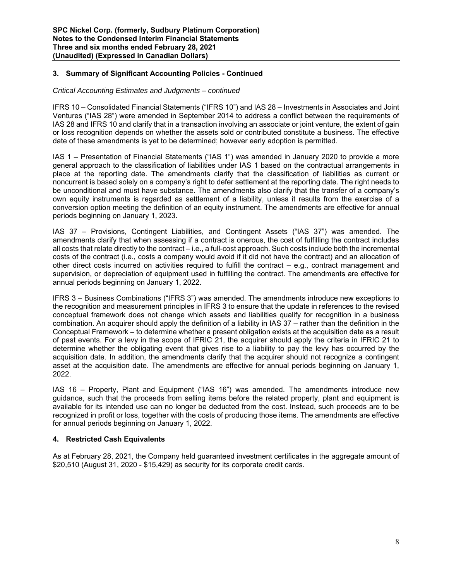#### **3. Summary of Significant Accounting Policies - Continued**

#### *Critical Accounting Estimates and Judgments – continued*

IFRS 10 – Consolidated Financial Statements ("IFRS 10") and IAS 28 – Investments in Associates and Joint Ventures ("IAS 28") were amended in September 2014 to address a conflict between the requirements of IAS 28 and IFRS 10 and clarify that in a transaction involving an associate or joint venture, the extent of gain or loss recognition depends on whether the assets sold or contributed constitute a business. The effective date of these amendments is yet to be determined; however early adoption is permitted.

IAS 1 – Presentation of Financial Statements ("IAS 1") was amended in January 2020 to provide a more general approach to the classification of liabilities under IAS 1 based on the contractual arrangements in place at the reporting date. The amendments clarify that the classification of liabilities as current or noncurrent is based solely on a company's right to defer settlement at the reporting date. The right needs to be unconditional and must have substance. The amendments also clarify that the transfer of a company's own equity instruments is regarded as settlement of a liability, unless it results from the exercise of a conversion option meeting the definition of an equity instrument. The amendments are effective for annual periods beginning on January 1, 2023.

IAS 37 – Provisions, Contingent Liabilities, and Contingent Assets ("IAS 37") was amended. The amendments clarify that when assessing if a contract is onerous, the cost of fulfilling the contract includes all costs that relate directly to the contract – i.e., a full-cost approach. Such costs include both the incremental costs of the contract (i.e., costs a company would avoid if it did not have the contract) and an allocation of other direct costs incurred on activities required to fulfill the contract – e.g., contract management and supervision, or depreciation of equipment used in fulfilling the contract. The amendments are effective for annual periods beginning on January 1, 2022.

IFRS 3 – Business Combinations ("IFRS 3") was amended. The amendments introduce new exceptions to the recognition and measurement principles in IFRS 3 to ensure that the update in references to the revised conceptual framework does not change which assets and liabilities qualify for recognition in a business combination. An acquirer should apply the definition of a liability in IAS 37 – rather than the definition in the Conceptual Framework – to determine whether a present obligation exists at the acquisition date as a result of past events. For a levy in the scope of IFRIC 21, the acquirer should apply the criteria in IFRIC 21 to determine whether the obligating event that gives rise to a liability to pay the levy has occurred by the acquisition date. In addition, the amendments clarify that the acquirer should not recognize a contingent asset at the acquisition date. The amendments are effective for annual periods beginning on January 1, 2022.

IAS 16 – Property, Plant and Equipment ("IAS 16") was amended. The amendments introduce new guidance, such that the proceeds from selling items before the related property, plant and equipment is available for its intended use can no longer be deducted from the cost. Instead, such proceeds are to be recognized in profit or loss, together with the costs of producing those items. The amendments are effective for annual periods beginning on January 1, 2022.

#### **4. Restricted Cash Equivalents**

As at February 28, 2021, the Company held guaranteed investment certificates in the aggregate amount of \$20,510 (August 31, 2020 - \$15,429) as security for its corporate credit cards.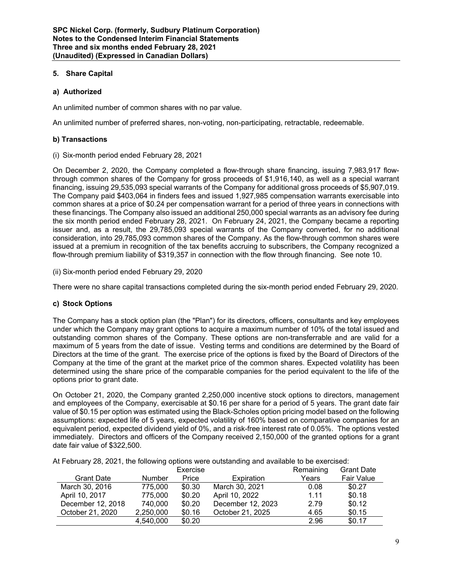#### **5. Share Capital**

#### **a) Authorized**

An unlimited number of common shares with no par value.

An unlimited number of preferred shares, non-voting, non-participating, retractable, redeemable.

#### **b) Transactions**

(i) Six-month period ended February 28, 2021

On December 2, 2020, the Company completed a flow-through share financing, issuing 7,983,917 flowthrough common shares of the Company for gross proceeds of \$1,916,140, as well as a special warrant financing, issuing 29,535,093 special warrants of the Company for additional gross proceeds of \$5,907,019. The Company paid \$403,064 in finders fees and issued 1,927,985 compensation warrants exercisable into common shares at a price of \$0.24 per compensation warrant for a period of three years in connections with these financings. The Company also issued an additional 250,000 special warrants as an advisory fee during the six month period ended February 28, 2021. On February 24, 2021, the Company became a reporting issuer and, as a result, the 29,785,093 special warrants of the Company converted, for no additional consideration, into 29,785,093 common shares of the Company. As the flow-through common shares were issued at a premium in recognition of the tax benefits accruing to subscribers, the Company recognized a flow-through premium liability of \$319,357 in connection with the flow through financing. See note 10.

(ii) Six-month period ended February 29, 2020

There were no share capital transactions completed during the six-month period ended February 29, 2020.

#### **c) Stock Options**

The Company has a stock option plan (the "Plan") for its directors, officers, consultants and key employees under which the Company may grant options to acquire a maximum number of 10% of the total issued and outstanding common shares of the Company. These options are non-transferrable and are valid for a maximum of 5 years from the date of issue. Vesting terms and conditions are determined by the Board of Directors at the time of the grant. The exercise price of the options is fixed by the Board of Directors of the Company at the time of the grant at the market price of the common shares. Expected volatility has been determined using the share price of the comparable companies for the period equivalent to the life of the options prior to grant date.

On October 21, 2020, the Company granted 2,250,000 incentive stock options to directors, management and employees of the Company, exercisable at \$0.16 per share for a period of 5 years. The grant date fair value of \$0.15 per option was estimated using the Black-Scholes option pricing model based on the following assumptions: expected life of 5 years, expected volatility of 160% based on comparative companies for an equivalent period, expected dividend yield of 0%, and a risk-free interest rate of 0.05%. The options vested immediately. Directors and officers of the Company received 2,150,000 of the granted options for a grant date fair value of \$322,500.

At February 28, 2021, the following options were outstanding and available to be exercised:

|                   |               | Exercise |                   | Remaining | <b>Grant Date</b> |
|-------------------|---------------|----------|-------------------|-----------|-------------------|
| <b>Grant Date</b> | <b>Number</b> | Price    | Expiration        | Years     | Fair Value        |
| March 30, 2016    | 775,000       | \$0.30   | March 30, 2021    | 0.08      | \$0.27            |
| April 10, 2017    | 775,000       | \$0.20   | April 10, 2022    | 1.11      | \$0.18            |
| December 12, 2018 | 740,000       | \$0.20   | December 12, 2023 | 2.79      | \$0.12            |
| October 21, 2020  | 2,250,000     | \$0.16   | October 21, 2025  | 4.65      | \$0.15            |
|                   | 4,540,000     | \$0.20   |                   | 2.96      | \$0.17            |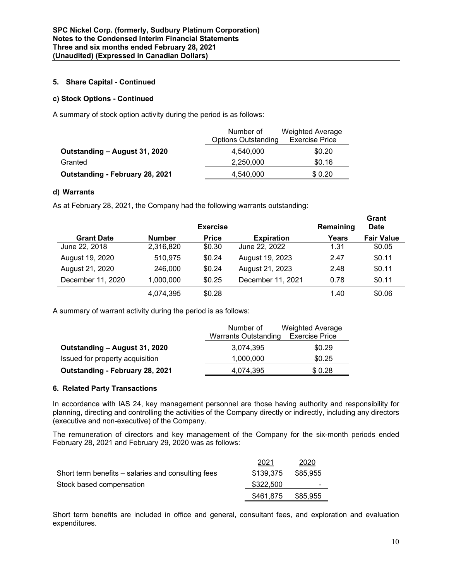#### **5. Share Capital - Continued**

#### **c) Stock Options - Continued**

A summary of stock option activity during the period is as follows:

|                                 | Number of                  | <b>Weighted Average</b> |
|---------------------------------|----------------------------|-------------------------|
|                                 | <b>Options Outstanding</b> | <b>Exercise Price</b>   |
| Outstanding - August 31, 2020   | 4.540.000                  | \$0.20                  |
| Granted                         | 2,250,000                  | \$0.16                  |
| Outstanding - February 28, 2021 | 4,540,000                  | \$0.20                  |

#### **d) Warrants**

As at February 28, 2021, the Company had the following warrants outstanding:

|                   |               | <b>Exercise</b> |                   | Remaining | Grant<br><b>Date</b> |
|-------------------|---------------|-----------------|-------------------|-----------|----------------------|
| <b>Grant Date</b> | <b>Number</b> | <b>Price</b>    | <b>Expiration</b> | Years     | <b>Fair Value</b>    |
| June 22, 2018     | 2,316,820     | \$0.30          | June 22, 2022     | 1.31      | \$0.05               |
| August 19, 2020   | 510,975       | \$0.24          | August 19, 2023   | 2.47      | \$0.11               |
| August 21, 2020   | 246,000       | \$0.24          | August 21, 2023   | 2.48      | \$0.11               |
| December 11, 2020 | 1,000,000     | \$0.25          | December 11, 2021 | 0.78      | \$0.11               |
|                   | 4,074,395     | \$0.28          |                   | 1.40      | \$0.06               |

A summary of warrant activity during the period is as follows:

|                                 | Number of            | <b>Weighted Average</b> |
|---------------------------------|----------------------|-------------------------|
|                                 | Warrants Outstanding | <b>Exercise Price</b>   |
| Outstanding - August 31, 2020   | 3.074.395            | \$0.29                  |
| Issued for property acquisition | 1,000,000            | \$0.25                  |
| Outstanding - February 28, 2021 | 4.074.395            | \$0.28                  |

#### **6. Related Party Transactions**

In accordance with IAS 24, key management personnel are those having authority and responsibility for planning, directing and controlling the activities of the Company directly or indirectly, including any directors (executive and non-executive) of the Company.

The remuneration of directors and key management of the Company for the six-month periods ended February 28, 2021 and February 29, 2020 was as follows:

|                                                    | 2021      | 2020     |
|----------------------------------------------------|-----------|----------|
| Short term benefits – salaries and consulting fees | \$139.375 | \$85.955 |
| Stock based compensation                           | \$322,500 | -        |
|                                                    | \$461,875 | \$85.955 |

Short term benefits are included in office and general, consultant fees, and exploration and evaluation expenditures.

**Grant**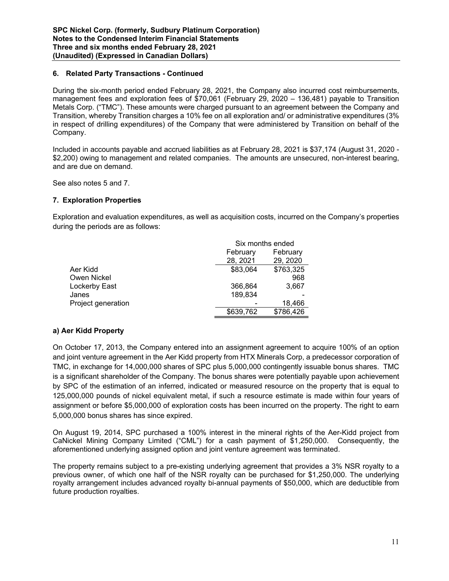#### **6. Related Party Transactions - Continued**

During the six-month period ended February 28, 2021, the Company also incurred cost reimbursements, management fees and exploration fees of \$70,061 (February 29, 2020 – 136,481) payable to Transition Metals Corp. ("TMC"). These amounts were charged pursuant to an agreement between the Company and Transition, whereby Transition charges a 10% fee on all exploration and/ or administrative expenditures (3% in respect of drilling expenditures) of the Company that were administered by Transition on behalf of the Company.

Included in accounts payable and accrued liabilities as at February 28, 2021 is \$37,174 (August 31, 2020 - \$2,200) owing to management and related companies. The amounts are unsecured, non-interest bearing, and are due on demand.

See also notes 5 and 7.

#### **7. Exploration Properties**

Exploration and evaluation expenditures, as well as acquisition costs, incurred on the Company's properties during the periods are as follows:

|                    | Six months ended |           |  |
|--------------------|------------------|-----------|--|
|                    | February         | February  |  |
|                    | 28, 2021         | 29, 2020  |  |
| Aer Kidd           | \$83,064         | \$763,325 |  |
| Owen Nickel        |                  | 968       |  |
| Lockerby East      | 366.864          | 3,667     |  |
| Janes              | 189,834          |           |  |
| Project generation |                  | 18,466    |  |
|                    | \$639,762        | \$786,426 |  |

#### **a) Aer Kidd Property**

On October 17, 2013, the Company entered into an assignment agreement to acquire 100% of an option and joint venture agreement in the Aer Kidd property from HTX Minerals Corp, a predecessor corporation of TMC, in exchange for 14,000,000 shares of SPC plus 5,000,000 contingently issuable bonus shares. TMC is a significant shareholder of the Company. The bonus shares were potentially payable upon achievement by SPC of the estimation of an inferred, indicated or measured resource on the property that is equal to 125,000,000 pounds of nickel equivalent metal, if such a resource estimate is made within four years of assignment or before \$5,000,000 of exploration costs has been incurred on the property. The right to earn 5,000,000 bonus shares has since expired.

On August 19, 2014, SPC purchased a 100% interest in the mineral rights of the Aer-Kidd project from CaNickel Mining Company Limited ("CML") for a cash payment of \$1,250,000. Consequently, the aforementioned underlying assigned option and joint venture agreement was terminated.

The property remains subject to a pre-existing underlying agreement that provides a 3% NSR royalty to a previous owner, of which one half of the NSR royalty can be purchased for \$1,250,000. The underlying royalty arrangement includes advanced royalty bi-annual payments of \$50,000, which are deductible from future production royalties.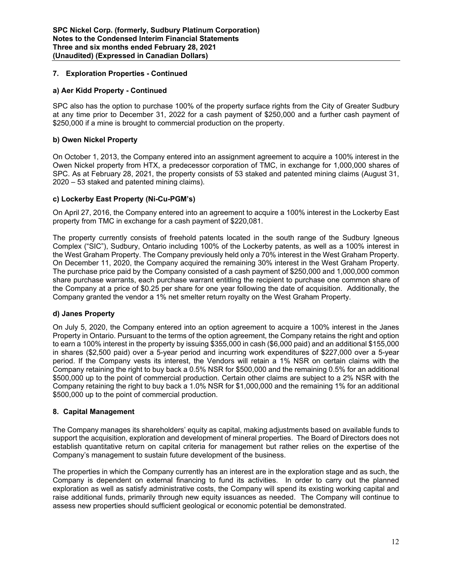#### **7. Exploration Properties - Continued**

#### **a) Aer Kidd Property - Continued**

SPC also has the option to purchase 100% of the property surface rights from the City of Greater Sudbury at any time prior to December 31, 2022 for a cash payment of \$250,000 and a further cash payment of \$250,000 if a mine is brought to commercial production on the property.

#### **b) Owen Nickel Property**

On October 1, 2013, the Company entered into an assignment agreement to acquire a 100% interest in the Owen Nickel property from HTX, a predecessor corporation of TMC, in exchange for 1,000,000 shares of SPC. As at February 28, 2021, the property consists of 53 staked and patented mining claims (August 31, 2020 – 53 staked and patented mining claims).

#### **c) Lockerby East Property (Ni-Cu-PGM's)**

On April 27, 2016, the Company entered into an agreement to acquire a 100% interest in the Lockerby East property from TMC in exchange for a cash payment of \$220,081.

The property currently consists of freehold patents located in the south range of the Sudbury Igneous Complex ("SIC"), Sudbury, Ontario including 100% of the Lockerby patents, as well as a 100% interest in the West Graham Property. The Company previously held only a 70% interest in the West Graham Property. On December 11, 2020, the Company acquired the remaining 30% interest in the West Graham Property. The purchase price paid by the Company consisted of a cash payment of \$250,000 and 1,000,000 common share purchase warrants, each purchase warrant entitling the recipient to purchase one common share of the Company at a price of \$0.25 per share for one year following the date of acquisition. Additionally, the Company granted the vendor a 1% net smelter return royalty on the West Graham Property.

#### **d) Janes Property**

On July 5, 2020, the Company entered into an option agreement to acquire a 100% interest in the Janes Property in Ontario. Pursuant to the terms of the option agreement, the Company retains the right and option to earn a 100% interest in the property by issuing \$355,000 in cash (\$6,000 paid) and an additional \$155,000 in shares (\$2,500 paid) over a 5-year period and incurring work expenditures of \$227,000 over a 5-year period. If the Company vests its interest, the Vendors will retain a 1% NSR on certain claims with the Company retaining the right to buy back a 0.5% NSR for \$500,000 and the remaining 0.5% for an additional \$500,000 up to the point of commercial production. Certain other claims are subject to a 2% NSR with the Company retaining the right to buy back a 1.0% NSR for \$1,000,000 and the remaining 1% for an additional \$500,000 up to the point of commercial production.

#### **8. Capital Management**

The Company manages its shareholders' equity as capital, making adjustments based on available funds to support the acquisition, exploration and development of mineral properties. The Board of Directors does not establish quantitative return on capital criteria for management but rather relies on the expertise of the Company's management to sustain future development of the business.

The properties in which the Company currently has an interest are in the exploration stage and as such, the Company is dependent on external financing to fund its activities. In order to carry out the planned exploration as well as satisfy administrative costs, the Company will spend its existing working capital and raise additional funds, primarily through new equity issuances as needed. The Company will continue to assess new properties should sufficient geological or economic potential be demonstrated.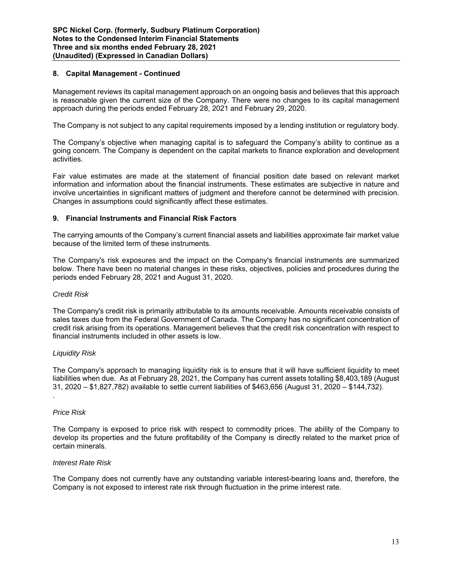#### **8. Capital Management - Continued**

Management reviews its capital management approach on an ongoing basis and believes that this approach is reasonable given the current size of the Company. There were no changes to its capital management approach during the periods ended February 28, 2021 and February 29, 2020.

The Company is not subject to any capital requirements imposed by a lending institution or regulatory body.

The Company's objective when managing capital is to safeguard the Company's ability to continue as a going concern. The Company is dependent on the capital markets to finance exploration and development activities.

Fair value estimates are made at the statement of financial position date based on relevant market information and information about the financial instruments. These estimates are subjective in nature and involve uncertainties in significant matters of judgment and therefore cannot be determined with precision. Changes in assumptions could significantly affect these estimates.

#### **9. Financial Instruments and Financial Risk Factors**

The carrying amounts of the Company's current financial assets and liabilities approximate fair market value because of the limited term of these instruments.

The Company's risk exposures and the impact on the Company's financial instruments are summarized below. There have been no material changes in these risks, objectives, policies and procedures during the periods ended February 28, 2021 and August 31, 2020.

#### *Credit Risk*

The Company's credit risk is primarily attributable to its amounts receivable. Amounts receivable consists of sales taxes due from the Federal Government of Canada. The Company has no significant concentration of credit risk arising from its operations. Management believes that the credit risk concentration with respect to financial instruments included in other assets is low.

#### *Liquidity Risk*

The Company's approach to managing liquidity risk is to ensure that it will have sufficient liquidity to meet liabilities when due. As at February 28, 2021, the Company has current assets totalling \$8,403,189 (August 31, 2020 – \$1,827,782) available to settle current liabilities of \$463,656 (August 31, 2020 – \$144,732).

#### *Price Risk*

.

The Company is exposed to price risk with respect to commodity prices. The ability of the Company to develop its properties and the future profitability of the Company is directly related to the market price of certain minerals.

#### *Interest Rate Risk*

The Company does not currently have any outstanding variable interest-bearing loans and, therefore, the Company is not exposed to interest rate risk through fluctuation in the prime interest rate.